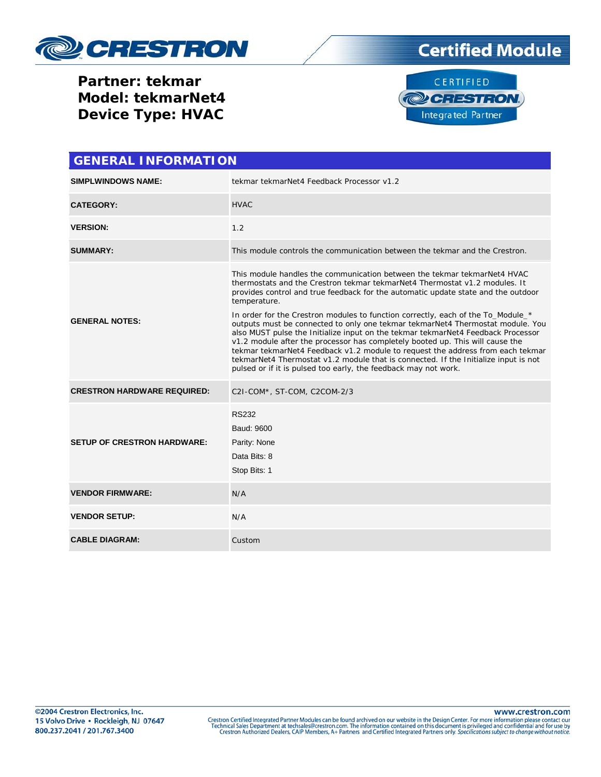

## **Certified Module**

**Partner: tekmar Model: tekmarNet4 Device Type: HVAC**



| <b>GENERAL INFORMATION</b>         |                                                                                                                                                                                                                                                                                                                                                                                                                                                                                                                                                                                                                                                                                                                                                                                                                                                     |  |  |  |
|------------------------------------|-----------------------------------------------------------------------------------------------------------------------------------------------------------------------------------------------------------------------------------------------------------------------------------------------------------------------------------------------------------------------------------------------------------------------------------------------------------------------------------------------------------------------------------------------------------------------------------------------------------------------------------------------------------------------------------------------------------------------------------------------------------------------------------------------------------------------------------------------------|--|--|--|
| <b>SIMPLWINDOWS NAME:</b>          | tekmar tekmarNet4 Feedback Processor v1.2                                                                                                                                                                                                                                                                                                                                                                                                                                                                                                                                                                                                                                                                                                                                                                                                           |  |  |  |
| <b>CATEGORY:</b>                   | <b>HVAC</b>                                                                                                                                                                                                                                                                                                                                                                                                                                                                                                                                                                                                                                                                                                                                                                                                                                         |  |  |  |
| <b>VERSION:</b>                    | 1.2                                                                                                                                                                                                                                                                                                                                                                                                                                                                                                                                                                                                                                                                                                                                                                                                                                                 |  |  |  |
| <b>SUMMARY:</b>                    | This module controls the communication between the tekmar and the Crestron.                                                                                                                                                                                                                                                                                                                                                                                                                                                                                                                                                                                                                                                                                                                                                                         |  |  |  |
| <b>GENERAL NOTES:</b>              | This module handles the communication between the tekmar tekmar Net4 HVAC<br>thermostats and the Crestron tekmar tekmarNet4 Thermostat v1.2 modules. It<br>provides control and true feedback for the automatic update state and the outdoor<br>temperature.<br>In order for the Crestron modules to function correctly, each of the To_Module_*<br>outputs must be connected to only one tekmar tekmarNet4 Thermostat module. You<br>also MUST pulse the Initialize input on the tekmar tekmarNet4 Feedback Processor<br>v1.2 module after the processor has completely booted up. This will cause the<br>tekmar tekmarNet4 Feedback v1.2 module to request the address from each tekmar<br>tekmarNet4 Thermostat v1.2 module that is connected. If the Initialize input is not<br>pulsed or if it is pulsed too early, the feedback may not work. |  |  |  |
| <b>CRESTRON HARDWARE REQUIRED:</b> | C2I-COM*, ST-COM, C2COM-2/3                                                                                                                                                                                                                                                                                                                                                                                                                                                                                                                                                                                                                                                                                                                                                                                                                         |  |  |  |
| <b>SETUP OF CRESTRON HARDWARE:</b> | <b>RS232</b><br>Baud: 9600<br>Parity: None<br>Data Bits: 8<br>Stop Bits: 1                                                                                                                                                                                                                                                                                                                                                                                                                                                                                                                                                                                                                                                                                                                                                                          |  |  |  |
| <b>VENDOR FIRMWARE:</b>            | N/A                                                                                                                                                                                                                                                                                                                                                                                                                                                                                                                                                                                                                                                                                                                                                                                                                                                 |  |  |  |
| <b>VENDOR SETUP:</b>               | N/A                                                                                                                                                                                                                                                                                                                                                                                                                                                                                                                                                                                                                                                                                                                                                                                                                                                 |  |  |  |
| <b>CABLE DIAGRAM:</b>              | Custom                                                                                                                                                                                                                                                                                                                                                                                                                                                                                                                                                                                                                                                                                                                                                                                                                                              |  |  |  |

www.crestron.com Crestron Certified Integrated Partner Modules can be found archived on our website in the Design Center. For more information please contact our<br>Technical Sales Department at techsales@crestron.com. The information contain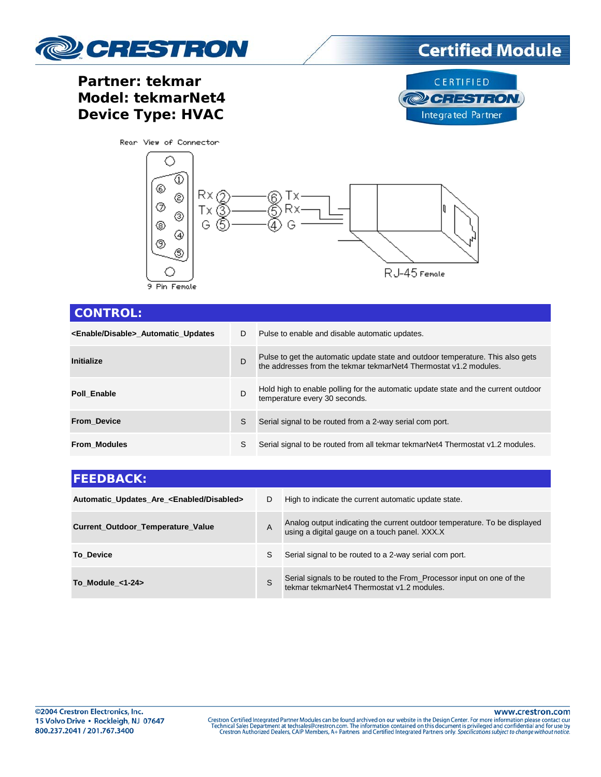

## Partner: tekmar Model: tekmarNet4 **Device Type: HVAC**





| <b>CONTROL:</b>                                |              |                                                                                                                                                      |  |  |  |  |
|------------------------------------------------|--------------|------------------------------------------------------------------------------------------------------------------------------------------------------|--|--|--|--|
| <enable disable=""> Automatic Updates</enable> | D            | Pulse to enable and disable automatic updates.                                                                                                       |  |  |  |  |
| Initialize                                     | D            | Pulse to get the automatic update state and outdoor temperature. This also gets<br>the addresses from the tekmar tekmarNet4 Thermostat v1.2 modules. |  |  |  |  |
| Poll Enable                                    | D            | Hold high to enable polling for the automatic update state and the current outdoor<br>temperature every 30 seconds.                                  |  |  |  |  |
| <b>From Device</b>                             | S            | Serial signal to be routed from a 2-way serial com port.                                                                                             |  |  |  |  |
| <b>From Modules</b>                            | <sub>S</sub> | Serial signal to be routed from all tekmar tekmarNet4 Thermostat v1.2 modules.                                                                       |  |  |  |  |

| <b>FEEDBACK:</b>                                       |   |                                                                                                                            |  |  |
|--------------------------------------------------------|---|----------------------------------------------------------------------------------------------------------------------------|--|--|
| Automatic_Updates_Are_ <enabled disabled=""></enabled> | D | High to indicate the current automatic update state.                                                                       |  |  |
| Current_Outdoor_Temperature_Value                      | A | Analog output indicating the current outdoor temperature. To be displayed<br>using a digital gauge on a touch panel. XXX.X |  |  |
| <b>To Device</b>                                       | S | Serial signal to be routed to a 2-way serial com port.                                                                     |  |  |
| To Module $<1-24$                                      | S | Serial signals to be routed to the From_Processor input on one of the tekmar tekmarNet4 Thermostat v1.2 modules.           |  |  |

www.crestron.com

Crestron Certified Integrated Partner Modules can be found archived on our website in the Design Center. For more information please contact our<br>Technical Sales Department at techsales@crestron.com. The information contain